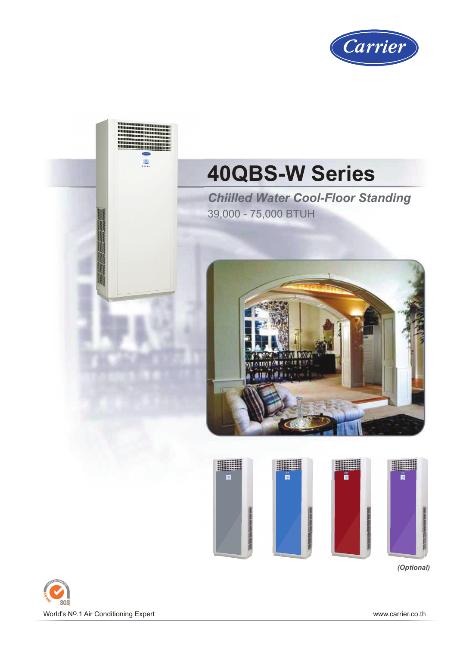





*(Optional)*